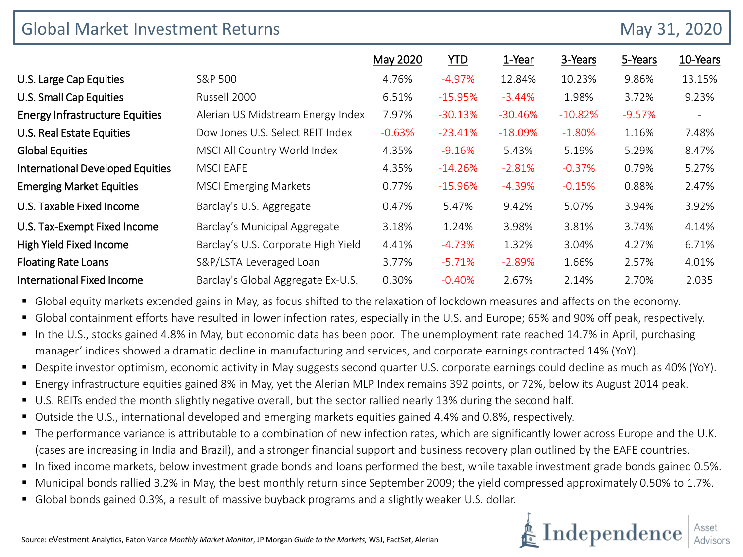| <b>Global Market Investment Returns</b> |                                     |          |            |           |           | May 31, 2020 |                          |
|-----------------------------------------|-------------------------------------|----------|------------|-----------|-----------|--------------|--------------------------|
|                                         |                                     | May 2020 | <b>YTD</b> | 1-Year    | 3-Years   | 5-Years      | 10-Years                 |
| U.S. Large Cap Equities                 | S&P 500                             | 4.76%    | $-4.97%$   | 12.84%    | 10.23%    | 9.86%        | 13.15%                   |
| <b>U.S. Small Cap Equities</b>          | Russell 2000                        | 6.51%    | $-15.95%$  | $-3.44%$  | 1.98%     | 3.72%        | 9.23%                    |
| <b>Energy Infrastructure Equities</b>   | Alerian US Midstream Energy Index   | 7.97%    | $-30.13%$  | $-30.46%$ | $-10.82%$ | $-9.57%$     | $\overline{\phantom{a}}$ |
| U.S. Real Estate Equities               | Dow Jones U.S. Select REIT Index    | $-0.63%$ | $-23.41%$  | $-18.09%$ | $-1.80%$  | 1.16%        | 7.48%                    |
| <b>Global Equities</b>                  | MSCI All Country World Index        | 4.35%    | $-9.16%$   | 5.43%     | 5.19%     | 5.29%        | 8.47%                    |
| <b>International Developed Equities</b> | <b>MSCI EAFE</b>                    | 4.35%    | $-14.26%$  | $-2.81%$  | $-0.37%$  | 0.79%        | 5.27%                    |
| <b>Emerging Market Equities</b>         | <b>MSCI Emerging Markets</b>        | 0.77%    | $-15.96%$  | $-4.39%$  | $-0.15%$  | 0.88%        | 2.47%                    |
| U.S. Taxable Fixed Income               | Barclay's U.S. Aggregate            | 0.47%    | 5.47%      | 9.42%     | 5.07%     | 3.94%        | 3.92%                    |
| U.S. Tax-Exempt Fixed Income            | Barclay's Municipal Aggregate       | 3.18%    | 1.24%      | 3.98%     | 3.81%     | 3.74%        | 4.14%                    |
| High Yield Fixed Income                 | Barclay's U.S. Corporate High Yield | 4.41%    | $-4.73%$   | 1.32%     | 3.04%     | 4.27%        | 6.71%                    |
| <b>Floating Rate Loans</b>              | S&P/LSTA Leveraged Loan             | 3.77%    | $-5.71%$   | $-2.89%$  | 1.66%     | 2.57%        | 4.01%                    |
| International Fixed Income              | Barclay's Global Aggregate Ex-U.S.  | 0.30%    | $-0.40%$   | 2.67%     | 2.14%     | 2.70%        | 2.035                    |

Global equity markets extended gains in May, as focus shifted to the relaxation of lockdown measures and affects on the economy.

- Global containment efforts have resulted in lower infection rates, especially in the U.S. and Europe; 65% and 90% off peak, respectively.
- In the U.S., stocks gained 4.8% in May, but economic data has been poor. The unemployment rate reached 14.7% in April, purchasing manager' indices showed a dramatic decline in manufacturing and services, and corporate earnings contracted 14% (YoY).
- Despite investor optimism, economic activity in May suggests second quarter U.S. corporate earnings could decline as much as 40% (YoY).
- Energy infrastructure equities gained 8% in May, yet the Alerian MLP Index remains 392 points, or 72%, below its August 2014 peak.
- U.S. REITs ended the month slightly negative overall, but the sector rallied nearly 13% during the second half.
- Outside the U.S., international developed and emerging markets equities gained 4.4% and 0.8%, respectively.
- The performance variance is attributable to a combination of new infection rates, which are significantly lower across Europe and the U.K. (cases are increasing in India and Brazil), and a stronger financial support and business recovery plan outlined by the EAFE countries.
- In fixed income markets, below investment grade bonds and loans performed the best, while taxable investment grade bonds gained 0.5%.
- Municipal bonds rallied 3.2% in May, the best monthly return since September 2009; the yield compressed approximately 0.50% to 1.7%.
- **Global bonds gained 0.3%, a result of massive buyback programs and a slightly weaker U.S. dollar.**

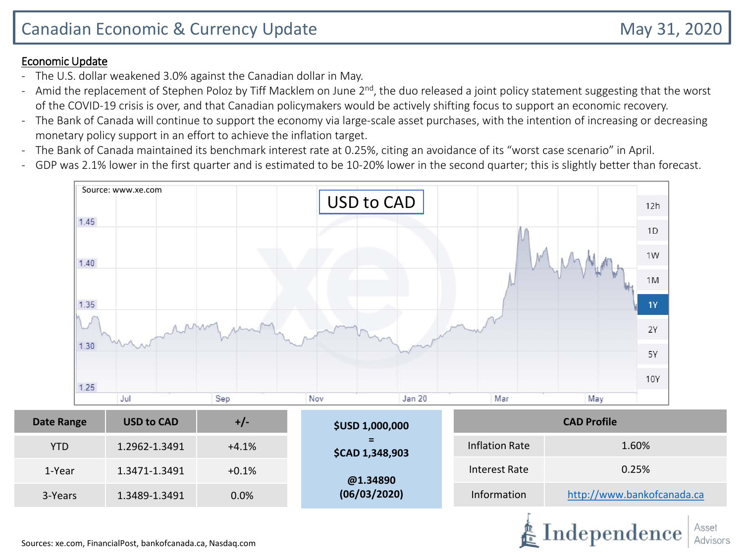#### Economic Update

- The U.S. dollar weakened 3.0% against the Canadian dollar in May.
- Amid the replacement of Stephen Poloz by Tiff Macklem on June 2<sup>nd</sup>, the duo released a joint policy statement suggesting that the worst of the COVID-19 crisis is over, and that Canadian policymakers would be actively shifting focus to support an economic recovery.
- The Bank of Canada will continue to support the economy via large-scale asset purchases, with the intention of increasing or decreasing monetary policy support in an effort to achieve the inflation target.
- The Bank of Canada maintained its benchmark interest rate at 0.25%, citing an avoidance of its "worst case scenario" in April.
- GDP was 2.1% lower in the first quarter and is estimated to be 10-20% lower in the second quarter; this is slightly better than forecast.

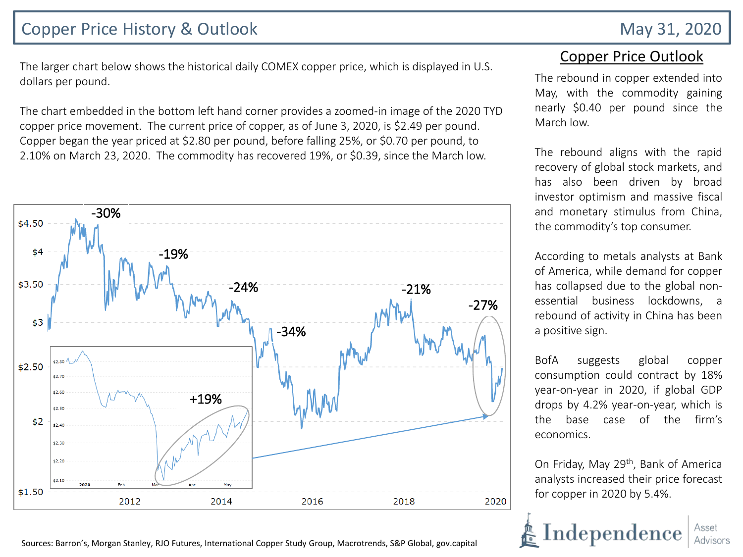## Copper Price History & Outlook May 31, 2020

The larger chart below shows the historical daily COMEX copper price, which is displayed in U.S. dollars per pound.

The chart embedded in the bottom left hand corner provides a zoomed-in image of the 2020 TYD copper price movement. The current price of copper, as of June 3, 2020, is \$2.49 per pound. Copper began the year priced at \$2.80 per pound, before falling 25%, or \$0.70 per pound, to 2.10% on March 23, 2020. The commodity has recovered 19%, or \$0.39, since the March low.



### Copper Price Outlook

The rebound in copper extended into May, with the commodity gaining nearly \$0.40 per pound since the March low.

The rebound aligns with the rapid recovery of global stock markets, and has also been driven by broad investor optimism and massive fiscal and monetary stimulus from China, the commodity's top consumer.

According to metals analysts at Bank of America, while demand for copper has collapsed due to the global nonessential business lockdowns, a rebound of activity in China has been a positive sign.

BofA suggests global copper consumption could contract by 18% year-on-year in 2020, if global GDP drops by 4.2% year-on-year, which is the base case of the firm's economics.

On Friday, May 29<sup>th</sup>, Bank of America analysts increased their price forecast for copper in 2020 by 5.4%.